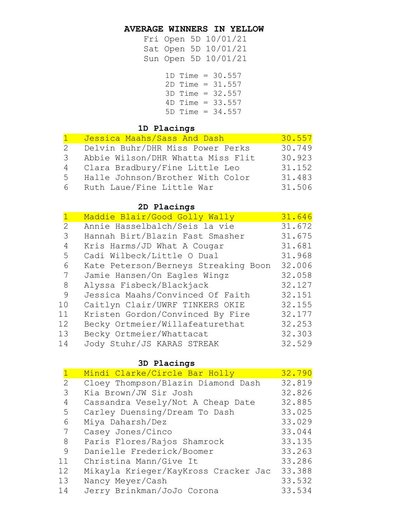#### **AVERAGE WINNERS IN YELLOW**

Fri Open 5D 10/01/21 Sat Open 5D 10/01/21 Sun Open 5D 10/01/21

|  | 1D Time = $30.557$<br>$2D$ Time = $31.557$<br>3D Time = 32.557<br>$4D$ Time = 33.557<br>$5D$ Time = 34.557 |
|--|------------------------------------------------------------------------------------------------------------|

#### **1D Placings**

|   | Jessica Maahs/Sass And Dash       | 30.557 |
|---|-----------------------------------|--------|
| 2 | Delvin Buhr/DHR Miss Power Perks  | 30.749 |
| 3 | Abbie Wilson/DHR Whatta Miss Flit | 30.923 |
|   | 4 Clara Bradbury/Fine Little Leo  | 31.152 |
| 5 | Halle Johnson/Brother With Color  | 31.483 |
| 6 | Ruth Laue/Fine Little War         | 31.506 |

## **2D Placings**

|    | Maddie Blair/Good Golly Wally        | 31.646 |
|----|--------------------------------------|--------|
| 2  | Annie Hasselbalch/Seis la vie        | 31.672 |
| 3  | Hannah Birt/Blazin Fast Smasher      | 31.675 |
| 4  | Kris Harms/JD What A Cougar          | 31.681 |
| 5  | Cadi Wilbeck/Little O Dual           | 31.968 |
| 6  | Kate Peterson/Berneys Streaking Boon | 32.006 |
| 7  | Jamie Hansen/On Eagles Wingz         | 32.058 |
| 8  | Alyssa Fisbeck/Blackjack             | 32.127 |
| 9  | Jessica Maahs/Convinced Of Faith     | 32.151 |
| 10 | Caitlyn Clair/UWRF TINKERS OKIE      | 32.155 |
| 11 | Kristen Gordon/Convinced By Fire     | 32.177 |
| 12 | Becky Ortmeier/Willafeaturethat      | 32.253 |
| 13 | Becky Ortmeier/Whattacat             | 32.303 |
| 14 | Jody Stuhr/JS KARAS STREAK           | 32.529 |

#### **3D Placings**

|    | Mindi Clarke/Circle Bar Holly        | 32.790 |
|----|--------------------------------------|--------|
| 2  | Cloey Thompson/Blazin Diamond Dash   | 32.819 |
| 3  | Kia Brown/JW Sir Josh                | 32.826 |
| 4  | Cassandra Vesely/Not A Cheap Date    | 32.885 |
| 5  | Carley Duensing/Dream To Dash        | 33.025 |
| 6  | Miya Daharsh/Dez                     | 33.029 |
| 7  | Casey Jones/Cinco                    | 33.044 |
| 8  | Paris Flores/Rajos Shamrock          | 33.135 |
| 9  | Danielle Frederick/Boomer            | 33.263 |
| 11 | Christina Mann/Give It               | 33.286 |
| 12 | Mikayla Krieger/KayKross Cracker Jac | 33.388 |
| 13 | Nancy Meyer/Cash                     | 33.532 |
| 14 | Jerry Brinkman/JoJo Corona           | 33.534 |